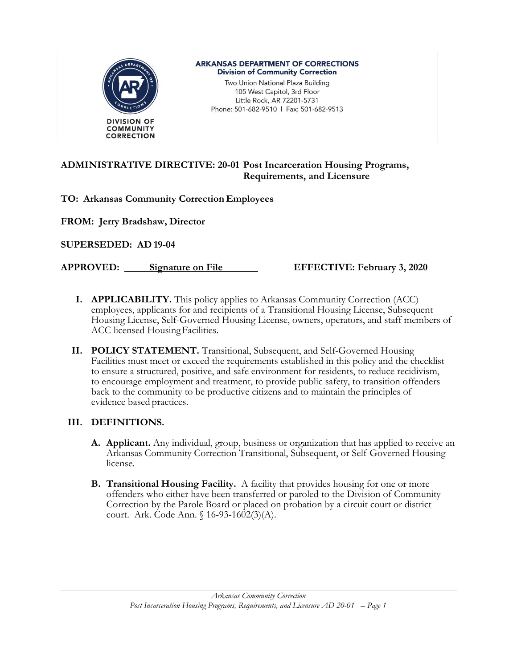

#### **ARKANSAS DEPARTMENT OF CORRECTIONS Division of Community Correction**

Two Union National Plaza Building 105 West Capitol, 3rd Floor Little Rock, AR 72201-5731 Phone: 501-682-9510 | Fax: 501-682-9513

#### **ADMINISTRATIVE DIRECTIVE: 20-01 Post Incarceration Housing Programs, Requirements, and Licensure**

**TO: Arkansas Community Correction Employees**

**FROM: Jerry Bradshaw, Director** 

**SUPERSEDED: AD 19-04** 

**APPROVED: Signature on File EFFECTIVE: February 3, 2020**

- **I. APPLICABILITY.** This policy applies to Arkansas Community Correction (ACC) employees, applicants for and recipients of a Transitional Housing License, Subsequent Housing License, Self-Governed Housing License, owners, operators, and staff members of ACC licensed Housing Facilities.
- **II. POLICY STATEMENT.** Transitional, Subsequent, and Self-Governed Housing Facilities must meet or exceed the requirements established in this policy and the checklist to ensure a structured, positive, and safe environment for residents, to reduce recidivism, to encourage employment and treatment, to provide public safety, to transition offenders back to the community to be productive citizens and to maintain the principles of evidence based practices.

#### **III. DEFINITIONS.**

- **A. Applicant.** Any individual, group, business or organization that has applied to receive an Arkansas Community Correction Transitional, Subsequent, or Self-Governed Housing license.
- **B. Transitional Housing Facility.** A facility that provides housing for one or more offenders who either have been transferred or paroled to the Division of Community Correction by the Parole Board or placed on probation by a circuit court or district court. Ark. Code Ann. § 16-93-1602(3)(A).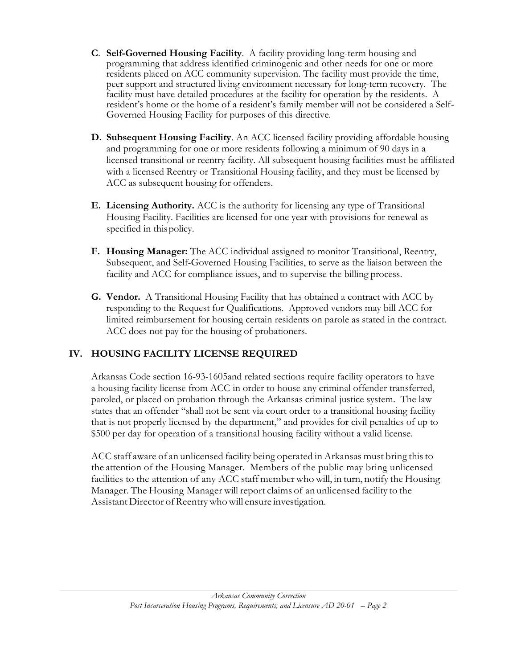- **C**. **Self-Governed Housing Facility**. A facility providing long-term housing and programming that address identified criminogenic and other needs for one or more residents placed on ACC community supervision. The facility must provide the time, peer support and structured living environment necessary for long-term recovery. The facility must have detailed procedures at the facility for operation by the residents. A resident's home or the home of a resident's family member will not be considered a Self-Governed Housing Facility for purposes of this directive.
- **D. Subsequent Housing Facility**. An ACC licensed facility providing affordable housing and programming for one or more residents following a minimum of 90 days in a licensed transitional or reentry facility. All subsequent housing facilities must be affiliated with a licensed Reentry or Transitional Housing facility, and they must be licensed by ACC as subsequent housing for offenders.
- **E. Licensing Authority.** ACC is the authority for licensing any type of Transitional Housing Facility. Facilities are licensed for one year with provisions for renewal as specified in this policy.
- **F. Housing Manager:** The ACC individual assigned to monitor Transitional, Reentry, Subsequent, and Self-Governed Housing Facilities, to serve as the liaison between the facility and ACC for compliance issues, and to supervise the billing process.
- **G. Vendor.** A Transitional Housing Facility that has obtained a contract with ACC by responding to the Request for Qualifications. Approved vendors may bill ACC for limited reimbursement for housing certain residents on parole as stated in the contract. ACC does not pay for the housing of probationers.

## **IV. HOUSING FACILITY LICENSE REQUIRED**

Arkansas Code section 16-93-1605and related sections require facility operators to have a housing facility license from ACC in order to house any criminal offender transferred, paroled, or placed on probation through the Arkansas criminal justice system. The law states that an offender "shall not be sent via court order to a transitional housing facility that is not properly licensed by the department," and provides for civil penalties of up to \$500 per day for operation of a transitional housing facility without a valid license.

ACC staff aware of an unlicensed facility being operated in Arkansas must bring thisto the attention of the Housing Manager. Members of the public may bring unlicensed facilities to the attention of any ACC staff member who will, in turn, notify the Housing Manager. The Housing Manager will report claims of an unlicensed facility to the Assistant Director of Reentry who will ensure investigation.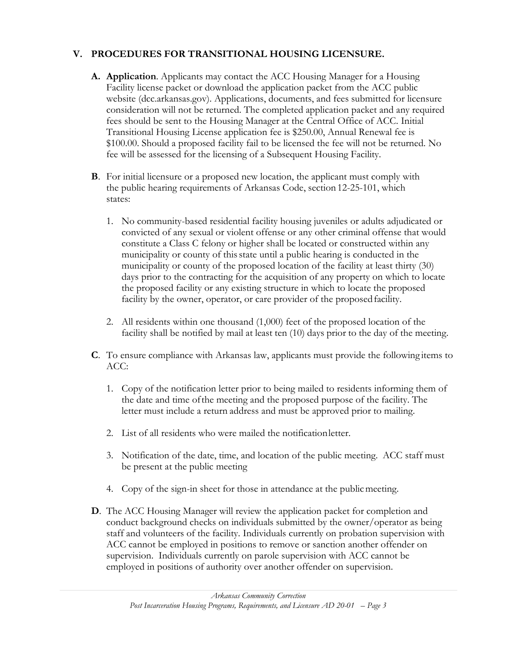## **V. PROCEDURES FOR TRANSITIONAL HOUSING LICENSURE.**

- **A. Application**. Applicants may contact the ACC Housing Manager for a Housing Facility license packet or download the application packet from the ACC public website (dcc.arkansas.gov). Applications, documents, and fees submitted for licensure consideration will not be returned. The completed application packet and any required fees should be sent to the Housing Manager at the Central Office of ACC. Initial Transitional Housing License application fee is \$250.00, Annual Renewal fee is \$100.00. Should a proposed facility fail to be licensed the fee will not be returned. No fee will be assessed for the licensing of a Subsequent Housing Facility.
- **B**. For initial licensure or a proposed new location, the applicant must comply with the public hearing requirements of Arkansas Code, section 12-25-101, which states:
	- 1. No community-based residential facility housing juveniles or adults adjudicated or convicted of any sexual or violent offense or any other criminal offense that would constitute a Class C felony or higher shall be located or constructed within any municipality or county of thisstate until a public hearing is conducted in the municipality or county of the proposed location of the facility at least thirty (30) days prior to the contracting for the acquisition of any property on which to locate the proposed facility or any existing structure in which to locate the proposed facility by the owner, operator, or care provider of the proposed facility.
	- 2. All residents within one thousand (1,000) feet of the proposed location of the facility shall be notified by mail at least ten (10) days prior to the day of the meeting.
- **C**. To ensure compliance with Arkansas law, applicants must provide the following items to ACC:
	- 1. Copy of the notification letter prior to being mailed to residents informing them of the date and time ofthe meeting and the proposed purpose of the facility. The letter must include a return address and must be approved prior to mailing.
	- 2. List of all residents who were mailed the notificationletter.
	- 3. Notification of the date, time, and location of the public meeting. ACC staff must be present at the public meeting
	- 4. Copy of the sign-in sheet for those in attendance at the public meeting.
- **D**. The ACC Housing Manager will review the application packet for completion and conduct background checks on individuals submitted by the owner/operator as being staff and volunteers of the facility. Individuals currently on probation supervision with ACC cannot be employed in positions to remove or sanction another offender on supervision. Individuals currently on parole supervision with ACC cannot be employed in positions of authority over another offender on supervision.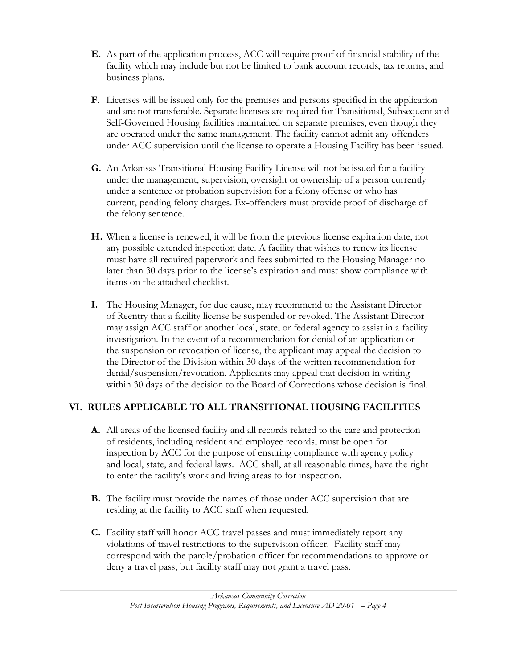- **E.** As part of the application process, ACC will require proof of financial stability of the facility which may include but not be limited to bank account records, tax returns, and business plans.
- **F**. Licenses will be issued only for the premises and persons specified in the application and are not transferable. Separate licenses are required for Transitional, Subsequent and Self-Governed Housing facilities maintained on separate premises, even though they are operated under the same management. The facility cannot admit any offenders under ACC supervision until the license to operate a Housing Facility has been issued.
- **G.** An Arkansas Transitional Housing Facility License will not be issued for a facility under the management, supervision, oversight or ownership of a person currently under a sentence or probation supervision for a felony offense or who has current, pending felony charges. Ex-offenders must provide proof of discharge of the felony sentence.
- **H.** When a license is renewed, it will be from the previous license expiration date, not any possible extended inspection date. A facility that wishes to renew its license must have all required paperwork and fees submitted to the Housing Manager no later than 30 days prior to the license's expiration and must show compliance with items on the attached checklist.
- **I.** The Housing Manager, for due cause, may recommend to the Assistant Director of Reentry that a facility license be suspended or revoked. The Assistant Director may assign ACC staff or another local, state, or federal agency to assist in a facility investigation. In the event of a recommendation for denial of an application or the suspension or revocation of license, the applicant may appeal the decision to the Director of the Division within 30 days of the written recommendation for denial/suspension/revocation. Applicants may appeal that decision in writing within 30 days of the decision to the Board of Corrections whose decision is final.

## **VI. RULES APPLICABLE TO ALL TRANSITIONAL HOUSING FACILITIES**

- **A.** All areas of the licensed facility and all records related to the care and protection of residents, including resident and employee records, must be open for inspection by ACC for the purpose of ensuring compliance with agency policy and local, state, and federal laws. ACC shall, at all reasonable times, have the right to enter the facility's work and living areas to for inspection.
- **B.** The facility must provide the names of those under ACC supervision that are residing at the facility to ACC staff when requested.
- **C.** Facility staff will honor ACC travel passes and must immediately report any violations of travel restrictions to the supervision officer. Facility staff may correspond with the parole/probation officer for recommendations to approve or deny a travel pass, but facility staff may not grant a travel pass.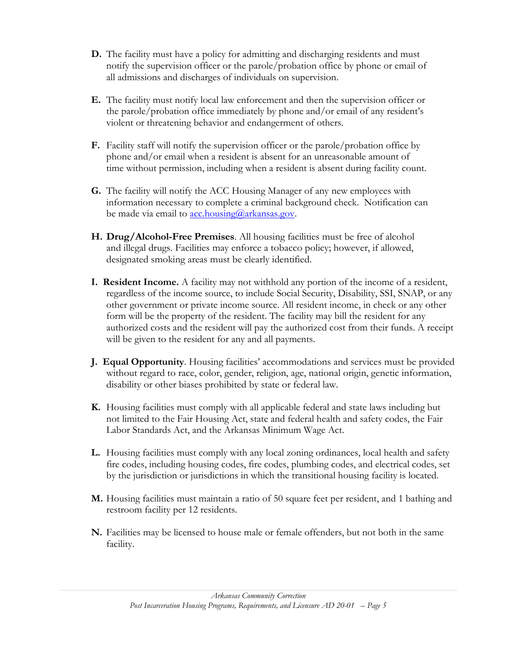- **D.** The facility must have a policy for admitting and discharging residents and must notify the supervision officer or the parole/probation office by phone or email of all admissions and discharges of individuals on supervision.
- **E.** The facility must notify local law enforcement and then the supervision officer or the parole/probation office immediately by phone and/or email of any resident's violent or threatening behavior and endangerment of others.
- **F.** Facility staff will notify the supervision officer or the parole/probation office by phone and/or email when a resident is absent for an unreasonable amount of time without permission, including when a resident is absent during facility count.
- **G.** The facility will notify the ACC Housing Manager of any new employees with information necessary to complete a criminal background check. Notification can be made via email to  $\arctan(\alpha)$ arkansas.gov.
- **H. Drug/Alcohol-Free Premises**. All housing facilities must be free of alcohol and illegal drugs. Facilities may enforce a tobacco policy; however, if allowed, designated smoking areas must be clearly identified.
- **I. Resident Income.** A facility may not withhold any portion of the income of a resident, regardless of the income source, to include Social Security, Disability, SSI, SNAP, or any other government or private income source. All resident income, in check or any other form will be the property of the resident. The facility may bill the resident for any authorized costs and the resident will pay the authorized cost from their funds. A receipt will be given to the resident for any and all payments.
- **J. Equal Opportunity**. Housing facilities' accommodations and services must be provided without regard to race, color, gender, religion, age, national origin, genetic information, disability or other biases prohibited by state or federal law.
- **K.** Housing facilities must comply with all applicable federal and state laws including but not limited to the Fair Housing Act, state and federal health and safety codes, the Fair Labor Standards Act, and the Arkansas Minimum Wage Act.
- **L.** Housing facilities must comply with any local zoning ordinances, local health and safety fire codes, including housing codes, fire codes, plumbing codes, and electrical codes, set by the jurisdiction or jurisdictions in which the transitional housing facility is located.
- **M.** Housing facilities must maintain a ratio of 50 square feet per resident, and 1 bathing and restroom facility per 12 residents.
- **N.** Facilities may be licensed to house male or female offenders, but not both in the same facility.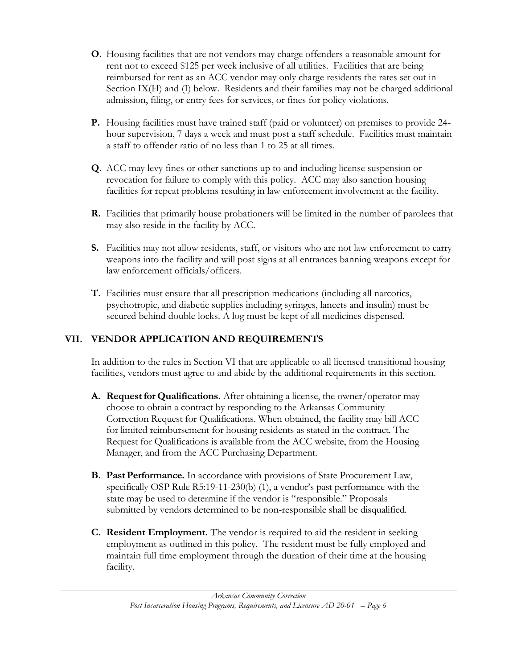- **O.** Housing facilities that are not vendors may charge offenders a reasonable amount for rent not to exceed \$125 per week inclusive of all utilities. Facilities that are being reimbursed for rent as an ACC vendor may only charge residents the rates set out in Section IX(H) and (I) below. Residents and their families may not be charged additional admission, filing, or entry fees for services, or fines for policy violations.
- **P.** Housing facilities must have trained staff (paid or volunteer) on premises to provide 24 hour supervision, 7 days a week and must post a staff schedule. Facilities must maintain a staff to offender ratio of no less than 1 to 25 at all times.
- **Q.** ACC may levy fines or other sanctions up to and including license suspension or revocation for failure to comply with this policy. ACC may also sanction housing facilities for repeat problems resulting in law enforcement involvement at the facility.
- **R.** Facilities that primarily house probationers will be limited in the number of parolees that may also reside in the facility by ACC.
- **S.** Facilities may not allow residents, staff, or visitors who are not law enforcement to carry weapons into the facility and will post signs at all entrances banning weapons except for law enforcement officials/officers.
- **T.** Facilities must ensure that all prescription medications (including all narcotics, psychotropic, and diabetic supplies including syringes, lancets and insulin) must be secured behind double locks. A log must be kept of all medicines dispensed.

## **VII. VENDOR APPLICATION AND REQUIREMENTS**

In addition to the rules in Section VI that are applicable to all licensed transitional housing facilities, vendors must agree to and abide by the additional requirements in this section.

- **A. Request for Qualifications.** After obtaining a license, the owner/operator may choose to obtain a contract by responding to the Arkansas Community Correction Request for Qualifications. When obtained, the facility may bill ACC for limited reimbursement for housing residents as stated in the contract. The Request for Qualifications is available from the ACC website, from the Housing Manager, and from the ACC Purchasing Department.
- **B.** Past Performance. In accordance with provisions of State Procurement Law, specifically OSP Rule R5:19-11-230(b) (1), a vendor's past performance with the state may be used to determine if the vendor is "responsible." Proposals submitted by vendors determined to be non-responsible shall be disqualified.
- **C. Resident Employment.** The vendor is required to aid the resident in seeking employment as outlined in this policy. The resident must be fully employed and maintain full time employment through the duration of their time at the housing facility.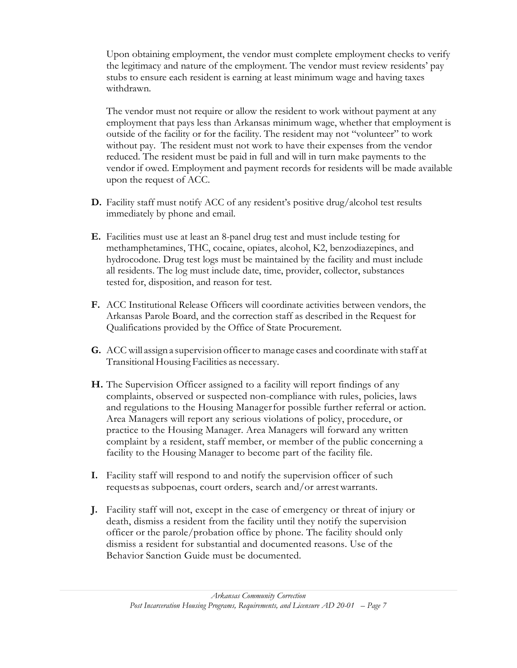Upon obtaining employment, the vendor must complete employment checks to verify the legitimacy and nature of the employment. The vendor must review residents' pay stubs to ensure each resident is earning at least minimum wage and having taxes withdrawn.

The vendor must not require or allow the resident to work without payment at any employment that pays less than Arkansas minimum wage, whether that employment is outside of the facility or for the facility. The resident may not "volunteer" to work without pay. The resident must not work to have their expenses from the vendor reduced. The resident must be paid in full and will in turn make payments to the vendor if owed. Employment and payment records for residents will be made available upon the request of ACC.

- **D.** Facility staff must notify ACC of any resident's positive drug/alcohol test results immediately by phone and email.
- **E.** Facilities must use at least an 8-panel drug test and must include testing for methamphetamines, THC, cocaine, opiates, alcohol, K2, benzodiazepines, and hydrocodone. Drug test logs must be maintained by the facility and must include all residents. The log must include date, time, provider, collector, substances tested for, disposition, and reason for test.
- **F.** ACC Institutional Release Officers will coordinate activities between vendors, the Arkansas Parole Board, and the correction staff as described in the Request for Qualifications provided by the Office of State Procurement.
- **G.** ACC will assign a supervision officerto manage cases and coordinatewith staff at Transitional Housing Facilities as necessary.
- **H.** The Supervision Officer assigned to a facility will report findings of any complaints, observed or suspected non-compliance with rules, policies, laws and regulations to the Housing Managerfor possible further referral or action. Area Managers will report any serious violations of policy, procedure, or practice to the Housing Manager. Area Managers will forward any written complaint by a resident, staff member, or member of the public concerning a facility to the Housing Manager to become part of the facility file.
- **I.** Facility staff will respond to and notify the supervision officer of such requests as subpoenas, court orders, search and/or arrestwarrants.
- **J.** Facility staff will not, except in the case of emergency or threat of injury or death, dismiss a resident from the facility until they notify the supervision officer or the parole/probation office by phone. The facility should only dismiss a resident for substantial and documented reasons. Use of the Behavior Sanction Guide must be documented.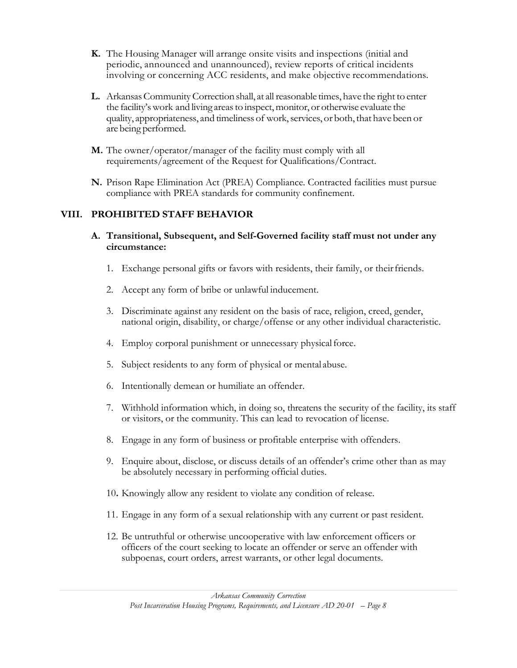- **K.** The Housing Manager will arrange onsite visits and inspections (initial and periodic, announced and unannounced), review reports of critical incidents involving or concerning ACC residents, and make objective recommendations.
- L. Arkansas Community Correction shall, at all reasonable times, have the right to enter the facility's work and living areas to inspect, monitor, or otherwise evaluate the quality, appropriateness, and timeliness of work, services, or both, that have been or are being performed.
- **M.** The owner/operator/manager of the facility must comply with all requirements/agreement of the Request for Qualifications/Contract.
- **N.** Prison Rape Elimination Act (PREA) Compliance. Contracted facilities must pursue compliance with PREA standards for community confinement.

#### **VIII. PROHIBITED STAFF BEHAVIOR**

- **A. Transitional, Subsequent, and Self-Governed facility staff must not under any circumstance:**
	- 1. Exchange personal gifts or favors with residents, their family, or theirfriends.
	- 2. Accept any form of bribe or unlawful inducement.
	- 3. Discriminate against any resident on the basis of race, religion, creed, gender, national origin, disability, or charge/offense or any other individual characteristic.
	- 4. Employ corporal punishment or unnecessary physical force.
	- 5. Subject residents to any form of physical or mental abuse.
	- 6. Intentionally demean or humiliate an offender.
	- 7. Withhold information which, in doing so, threatens the security of the facility, its staff or visitors, or the community. This can lead to revocation of license.
	- 8. Engage in any form of business or profitable enterprise with offenders.
	- 9. Enquire about, disclose, or discuss details of an offender's crime other than as may be absolutely necessary in performing official duties.
	- 10**.** Knowingly allow any resident to violate any condition of release.
	- 11. Engage in any form of a sexual relationship with any current or past resident.
	- 12. Be untruthful or otherwise uncooperative with law enforcement officers or officers of the court seeking to locate an offender or serve an offender with subpoenas, court orders, arrest warrants, or other legal documents.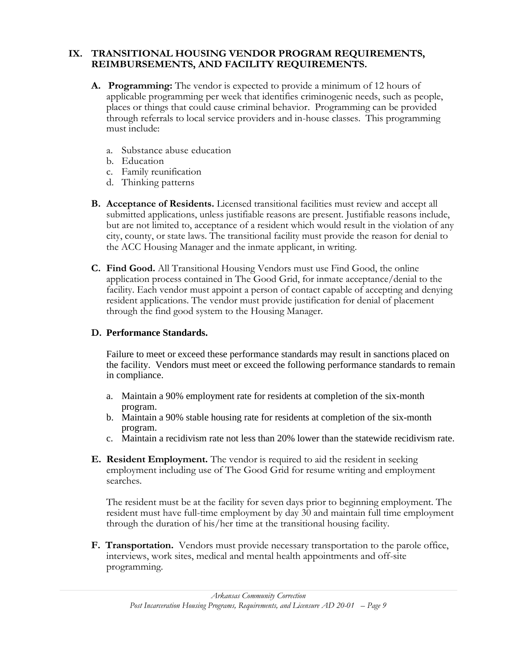#### **IX. TRANSITIONAL HOUSING VENDOR PROGRAM REQUIREMENTS, REIMBURSEMENTS, AND FACILITY REQUIREMENTS.**

- **A. Programming:** The vendor is expected to provide a minimum of 12 hours of applicable programming per week that identifies criminogenic needs, such as people, places or things that could cause criminal behavior. Programming can be provided through referrals to local service providers and in-house classes. This programming must include:
	- a. Substance abuse education
	- b. Education
	- c. Family reunification
	- d. Thinking patterns
- **B. Acceptance of Residents.** Licensed transitional facilities must review and accept all submitted applications, unless justifiable reasons are present. Justifiable reasons include, but are not limited to, acceptance of a resident which would result in the violation of any city, county, or state laws. The transitional facility must provide the reason for denial to the ACC Housing Manager and the inmate applicant, in writing.
- **C. Find Good.** All Transitional Housing Vendors must use Find Good, the online application process contained in The Good Grid, for inmate acceptance/denial to the facility. Each vendor must appoint a person of contact capable of accepting and denying resident applications. The vendor must provide justification for denial of placement through the find good system to the Housing Manager.

#### **D. Performance Standards.**

Failure to meet or exceed these performance standards may result in sanctions placed on the facility. Vendors must meet or exceed the following performance standards to remain in compliance.

- a. Maintain a 90% employment rate for residents at completion of the six-month program.
- b. Maintain a 90% stable housing rate for residents at completion of the six-month program.
- c. Maintain a recidivism rate not less than 20% lower than the statewide recidivism rate.
- **E. Resident Employment.** The vendor is required to aid the resident in seeking employment including use of The Good Grid for resume writing and employment searches.

The resident must be at the facility for seven days prior to beginning employment. The resident must have full-time employment by day 30 and maintain full time employment through the duration of his/her time at the transitional housing facility.

**F. Transportation.** Vendors must provide necessary transportation to the parole office, interviews, work sites, medical and mental health appointments and off-site programming.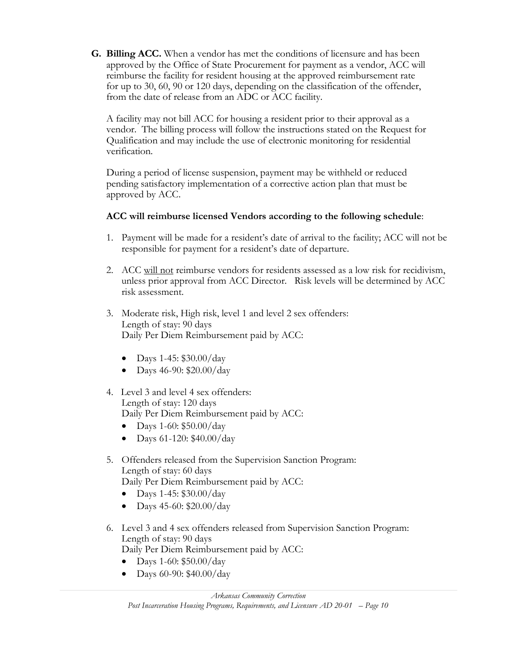**G. Billing ACC.** When a vendor has met the conditions of licensure and has been approved by the Office of State Procurement for payment as a vendor, ACC will reimburse the facility for resident housing at the approved reimbursement rate for up to 30, 60, 90 or 120 days, depending on the classification of the offender, from the date of release from an ADC or ACC facility.

A facility may not bill ACC for housing a resident prior to their approval as a vendor. The billing process will follow the instructions stated on the Request for Qualification and may include the use of electronic monitoring for residential verification.

During a period of license suspension, payment may be withheld or reduced pending satisfactory implementation of a corrective action plan that must be approved by ACC.

#### **ACC will reimburse licensed Vendors according to the following schedule**:

- 1. Payment will be made for a resident's date of arrival to the facility; ACC will not be responsible for payment for a resident's date of departure.
- 2. ACC will not reimburse vendors for residents assessed as a low risk for recidivism, unless prior approval from ACC Director. Risk levels will be determined by ACC risk assessment.
- 3. Moderate risk, High risk, level 1 and level 2 sex offenders: Length of stay: 90 days Daily Per Diem Reimbursement paid by ACC:
	- Days 1-45:  $$30.00/day$
	- Days 46-90: \$20.00/day
- 4. Level 3 and level 4 sex offenders: Length of stay: 120 days Daily Per Diem Reimbursement paid by ACC:
	- Days 1-60:  $$50.00/day$
	- Days  $61-120$ : \$40.00/day
- 5. Offenders released from the Supervision Sanction Program: Length of stay: 60 days Daily Per Diem Reimbursement paid by ACC:
	- Days 1-45: \$30.00/day
	- Days 45-60: \$20.00/day
- 6. Level 3 and 4 sex offenders released from Supervision Sanction Program: Length of stay: 90 days Daily Per Diem Reimbursement paid by ACC:
	- Days 1-60:  $$50.00/day$
	- Days  $60-90$ : \$40.00/day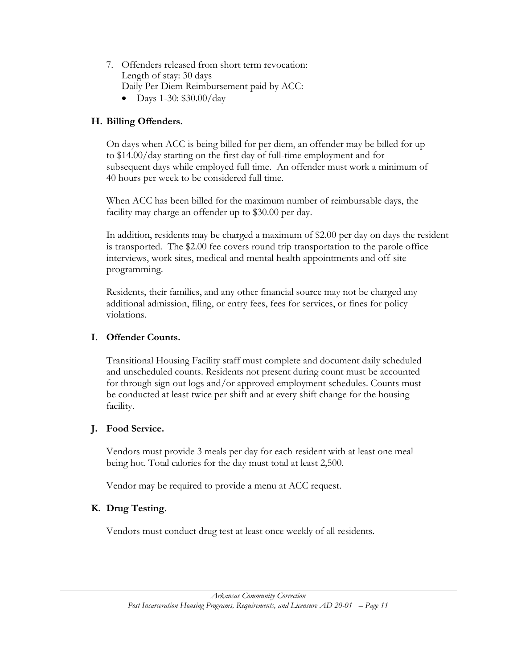- 7. Offenders released from short term revocation: Length of stay: 30 days Daily Per Diem Reimbursement paid by ACC:
	- Days 1-30:  $$30.00/day$

### **H. Billing Offenders.**

On days when ACC is being billed for per diem, an offender may be billed for up to \$14.00/day starting on the first day of full-time employment and for subsequent days while employed full time. An offender must work a minimum of 40 hours per week to be considered full time.

When ACC has been billed for the maximum number of reimbursable days, the facility may charge an offender up to \$30.00 per day.

In addition, residents may be charged a maximum of \$2.00 per day on days the resident is transported. The \$2.00 fee covers round trip transportation to the parole office interviews, work sites, medical and mental health appointments and off-site programming.

Residents, their families, and any other financial source may not be charged any additional admission, filing, or entry fees, fees for services, or fines for policy violations.

#### **I. Offender Counts.**

Transitional Housing Facility staff must complete and document daily scheduled and unscheduled counts. Residents not present during count must be accounted for through sign out logs and/or approved employment schedules. Counts must be conducted at least twice per shift and at every shift change for the housing facility.

#### **J. Food Service.**

Vendors must provide 3 meals per day for each resident with at least one meal being hot. Total calories for the day must total at least 2,500.

Vendor may be required to provide a menu at ACC request.

#### **K. Drug Testing.**

Vendors must conduct drug test at least once weekly of all residents.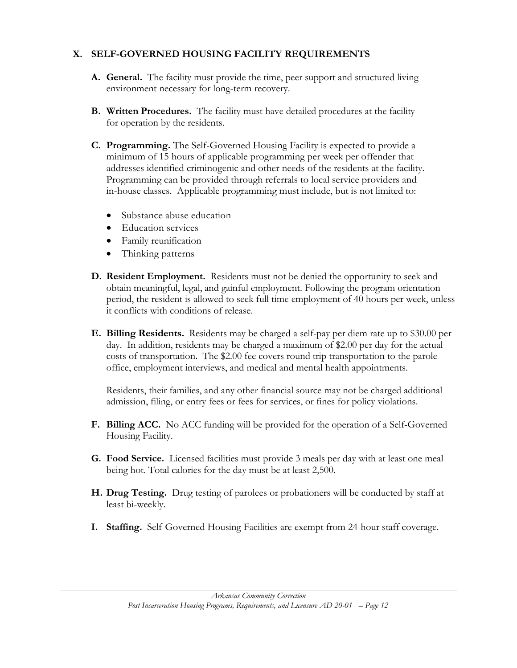#### **X. SELF-GOVERNED HOUSING FACILITY REQUIREMENTS**

- **A. General.** The facility must provide the time, peer support and structured living environment necessary for long-term recovery.
- **B. Written Procedures.** The facility must have detailed procedures at the facility for operation by the residents.
- **C. Programming.** The Self-Governed Housing Facility is expected to provide a minimum of 15 hours of applicable programming per week per offender that addresses identified criminogenic and other needs of the residents at the facility. Programming can be provided through referrals to local service providers and in-house classes. Applicable programming must include, but is not limited to:
	- Substance abuse education
	- Education services
	- Family reunification
	- Thinking patterns
- **D. Resident Employment.** Residents must not be denied the opportunity to seek and obtain meaningful, legal, and gainful employment. Following the program orientation period, the resident is allowed to seek full time employment of 40 hours per week, unless it conflicts with conditions of release.
- **E. Billing Residents.** Residents may be charged a self-pay per diem rate up to \$30.00 per day. In addition, residents may be charged a maximum of \$2.00 per day for the actual costs of transportation. The \$2.00 fee covers round trip transportation to the parole office, employment interviews, and medical and mental health appointments.

Residents, their families, and any other financial source may not be charged additional admission, filing, or entry fees or fees for services, or fines for policy violations.

- **F. Billing ACC.** No ACC funding will be provided for the operation of a Self-Governed Housing Facility.
- **G. Food Service.** Licensed facilities must provide 3 meals per day with at least one meal being hot. Total calories for the day must be at least 2,500.
- **H. Drug Testing.** Drug testing of parolees or probationers will be conducted by staff at least bi-weekly.
- **I. Staffing.** Self-Governed Housing Facilities are exempt from 24-hour staff coverage.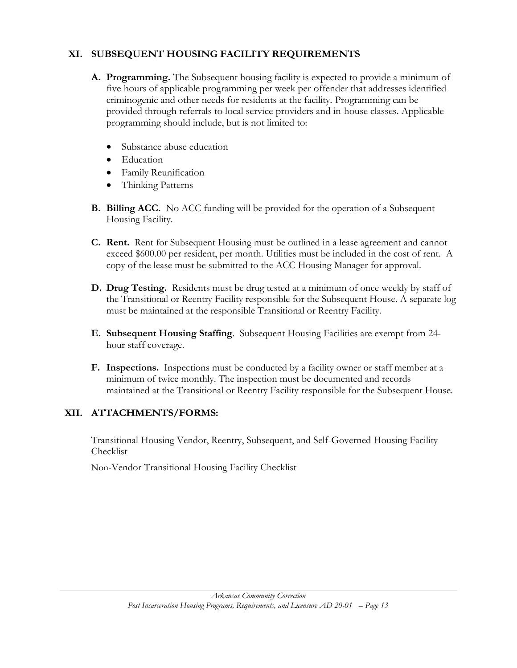### **XI. SUBSEQUENT HOUSING FACILITY REQUIREMENTS**

- **A. Programming.** The Subsequent housing facility is expected to provide a minimum of five hours of applicable programming per week per offender that addresses identified criminogenic and other needs for residents at the facility. Programming can be provided through referrals to local service providers and in-house classes. Applicable programming should include, but is not limited to:
	- Substance abuse education
	- Education
	- Family Reunification
	- Thinking Patterns
- **B. Billing ACC.** No ACC funding will be provided for the operation of a Subsequent Housing Facility.
- **C. Rent.** Rent for Subsequent Housing must be outlined in a lease agreement and cannot exceed \$600.00 per resident, per month. Utilities must be included in the cost of rent. A copy of the lease must be submitted to the ACC Housing Manager for approval.
- **D. Drug Testing.** Residents must be drug tested at a minimum of once weekly by staff of the Transitional or Reentry Facility responsible for the Subsequent House. A separate log must be maintained at the responsible Transitional or Reentry Facility.
- **E. Subsequent Housing Staffing**. Subsequent Housing Facilities are exempt from 24 hour staff coverage.
- **F. Inspections.** Inspections must be conducted by a facility owner or staff member at a minimum of twice monthly. The inspection must be documented and records maintained at the Transitional or Reentry Facility responsible for the Subsequent House.

## **XII. ATTACHMENTS/FORMS:**

Transitional Housing Vendor, Reentry, Subsequent, and Self-Governed Housing Facility Checklist

Non-Vendor Transitional Housing Facility Checklist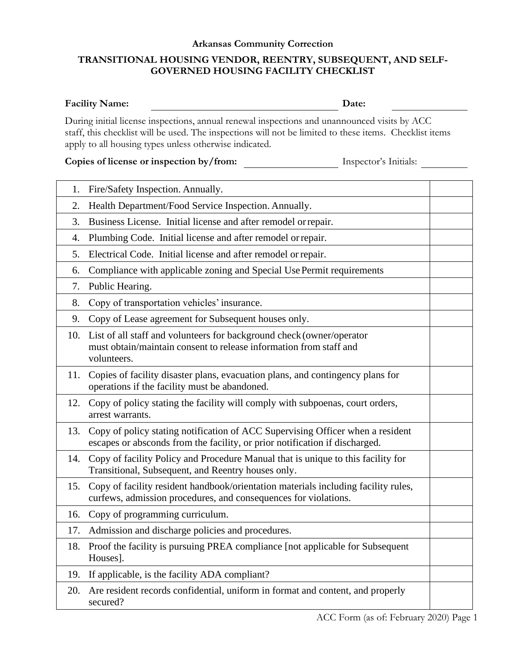# **Arkansas Community Correction TRANSITIONAL HOUSING VENDOR, REENTRY, SUBSEQUENT, AND SELF-GOVERNED HOUSING FACILITY CHECKLIST**

| <b>Facility Name:</b> | Date:                                                                                        |
|-----------------------|----------------------------------------------------------------------------------------------|
|                       | During initial license inspections, annual renewal inspections and unannounced visits by ACC |

staff, this checklist will be used. The inspections will not be limited to these items. Checklist items apply to all housing types unless otherwise indicated.

| Inspector's Initials: |
|-----------------------|
|                       |

| 1.               | Fire/Safety Inspection. Annually.                                                                                                                              |  |
|------------------|----------------------------------------------------------------------------------------------------------------------------------------------------------------|--|
| 2.               | Health Department/Food Service Inspection. Annually.                                                                                                           |  |
| 3.               | Business License. Initial license and after remodel or repair.                                                                                                 |  |
| $\overline{4}$ . | Plumbing Code. Initial license and after remodel or repair.                                                                                                    |  |
| 5.               | Electrical Code. Initial license and after remodel or repair.                                                                                                  |  |
| 6.               | Compliance with applicable zoning and Special Use Permit requirements                                                                                          |  |
| 7.               | Public Hearing.                                                                                                                                                |  |
| 8.               | Copy of transportation vehicles' insurance.                                                                                                                    |  |
| 9.               | Copy of Lease agreement for Subsequent houses only.                                                                                                            |  |
|                  | 10. List of all staff and volunteers for background check (owner/operator<br>must obtain/maintain consent to release information from staff and<br>volunteers. |  |
| 11.              | Copies of facility disaster plans, evacuation plans, and contingency plans for<br>operations if the facility must be abandoned.                                |  |
| 12.              | Copy of policy stating the facility will comply with subpoenas, court orders,<br>arrest warrants.                                                              |  |
| 13.              | Copy of policy stating notification of ACC Supervising Officer when a resident<br>escapes or absconds from the facility, or prior notification if discharged.  |  |
| 14.              | Copy of facility Policy and Procedure Manual that is unique to this facility for<br>Transitional, Subsequent, and Reentry houses only.                         |  |
| 15.              | Copy of facility resident handbook/orientation materials including facility rules,<br>curfews, admission procedures, and consequences for violations.          |  |
| 16.              | Copy of programming curriculum.                                                                                                                                |  |
| 17.              | Admission and discharge policies and procedures.                                                                                                               |  |
| 18.              | Proof the facility is pursuing PREA compliance [not applicable for Subsequent]<br>Houses].                                                                     |  |
|                  | 19. If applicable, is the facility ADA compliant?                                                                                                              |  |
| 20.              | Are resident records confidential, uniform in format and content, and properly<br>secured?                                                                     |  |
|                  |                                                                                                                                                                |  |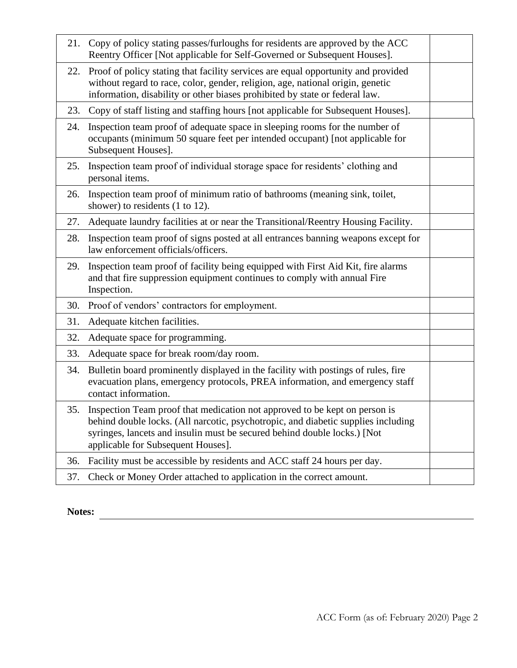|     | 21. Copy of policy stating passes/furloughs for residents are approved by the ACC<br>Reentry Officer [Not applicable for Self-Governed or Subsequent Houses].                                                                                                                         |  |
|-----|---------------------------------------------------------------------------------------------------------------------------------------------------------------------------------------------------------------------------------------------------------------------------------------|--|
| 22. | Proof of policy stating that facility services are equal opportunity and provided<br>without regard to race, color, gender, religion, age, national origin, genetic<br>information, disability or other biases prohibited by state or federal law.                                    |  |
|     | 23. Copy of staff listing and staffing hours [not applicable for Subsequent Houses].                                                                                                                                                                                                  |  |
| 24. | Inspection team proof of adequate space in sleeping rooms for the number of<br>occupants (minimum 50 square feet per intended occupant) [not applicable for<br>Subsequent Houses].                                                                                                    |  |
| 25. | Inspection team proof of individual storage space for residents' clothing and<br>personal items.                                                                                                                                                                                      |  |
| 26. | Inspection team proof of minimum ratio of bathrooms (meaning sink, toilet,<br>shower) to residents (1 to 12).                                                                                                                                                                         |  |
| 27. | Adequate laundry facilities at or near the Transitional/Reentry Housing Facility.                                                                                                                                                                                                     |  |
| 28. | Inspection team proof of signs posted at all entrances banning weapons except for<br>law enforcement officials/officers.                                                                                                                                                              |  |
| 29. | Inspection team proof of facility being equipped with First Aid Kit, fire alarms<br>and that fire suppression equipment continues to comply with annual Fire<br>Inspection.                                                                                                           |  |
|     | 30. Proof of vendors' contractors for employment.                                                                                                                                                                                                                                     |  |
| 31. |                                                                                                                                                                                                                                                                                       |  |
|     | Adequate kitchen facilities.                                                                                                                                                                                                                                                          |  |
| 32. | Adequate space for programming.                                                                                                                                                                                                                                                       |  |
| 33. | Adequate space for break room/day room.                                                                                                                                                                                                                                               |  |
| 34. | Bulletin board prominently displayed in the facility with postings of rules, fire<br>evacuation plans, emergency protocols, PREA information, and emergency staff<br>contact information.                                                                                             |  |
|     | 35. Inspection Team proof that medication not approved to be kept on person is<br>behind double locks. (All narcotic, psychotropic, and diabetic supplies including<br>syringes, lancets and insulin must be secured behind double locks.) [Not<br>applicable for Subsequent Houses]. |  |
| 36. | Facility must be accessible by residents and ACC staff 24 hours per day.                                                                                                                                                                                                              |  |

**Notes:**